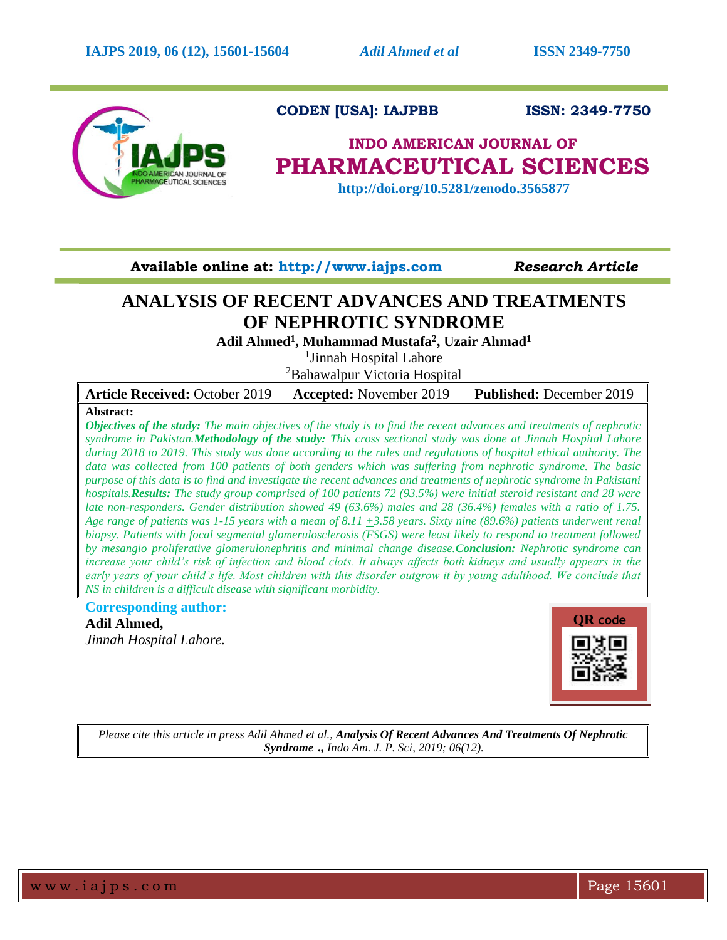

# **CODEN [USA]: IAJPBB ISSN: 2349-7750**

# **INDO AMERICAN JOURNAL OF PHARMACEUTICAL SCIENCES**

 **http://doi.org/10.5281/zenodo.3565877**

**Available online at: [http://www.iajps.com](http://www.iajps.com/)** *Research Article*

# **ANALYSIS OF RECENT ADVANCES AND TREATMENTS OF NEPHROTIC SYNDROME**

**Adil Ahmed<sup>1</sup> , Muhammad Mustafa<sup>2</sup> , Uzair Ahmad<sup>1</sup>**

<sup>1</sup>Jinnah Hospital Lahore

<sup>2</sup>Bahawalpur Victoria Hospital

| <b>Article Received: October 2019</b> | <b>Accepted:</b> November 2019 | <b>Published:</b> December 2019 |
|---------------------------------------|--------------------------------|---------------------------------|
|                                       |                                |                                 |

### **Abstract:**

*Objectives of the study: The main objectives of the study is to find the recent advances and treatments of nephrotic syndrome in Pakistan.Methodology of the study: This cross sectional study was done at Jinnah Hospital Lahore during 2018 to 2019. This study was done according to the rules and regulations of hospital ethical authority. The data was collected from 100 patients of both genders which was suffering from nephrotic syndrome. The basic purpose of this data is to find and investigate the recent advances and treatments of nephrotic syndrome in Pakistani hospitals.Results: The study group comprised of 100 patients 72 (93.5%) were initial steroid resistant and 28 were late non-responders. Gender distribution showed 49 (63.6%) males and 28 (36.4%) females with a ratio of 1.75. Age range of patients was 1-15 years with a mean of 8.11 +3.58 years. Sixty nine (89.6%) patients underwent renal biopsy. Patients with focal segmental glomerulosclerosis (FSGS) were least likely to respond to treatment followed by mesangio proliferative glomerulonephritis and minimal change disease.Conclusion: Nephrotic syndrome can increase your child's risk of infection and blood clots. It always affects both kidneys and usually appears in the*  early years of your child's life. Most children with this disorder outgrow it by young adulthood. We conclude that *NS in children is a difficult disease with significant morbidity.*

**Corresponding author: Adil Ahmed,** *Jinnah Hospital Lahore.*



*Please cite this article in press Adil Ahmed et al., Analysis Of Recent Advances And Treatments Of Nephrotic Syndrome ., Indo Am. J. P. Sci, 2019; 06(12).*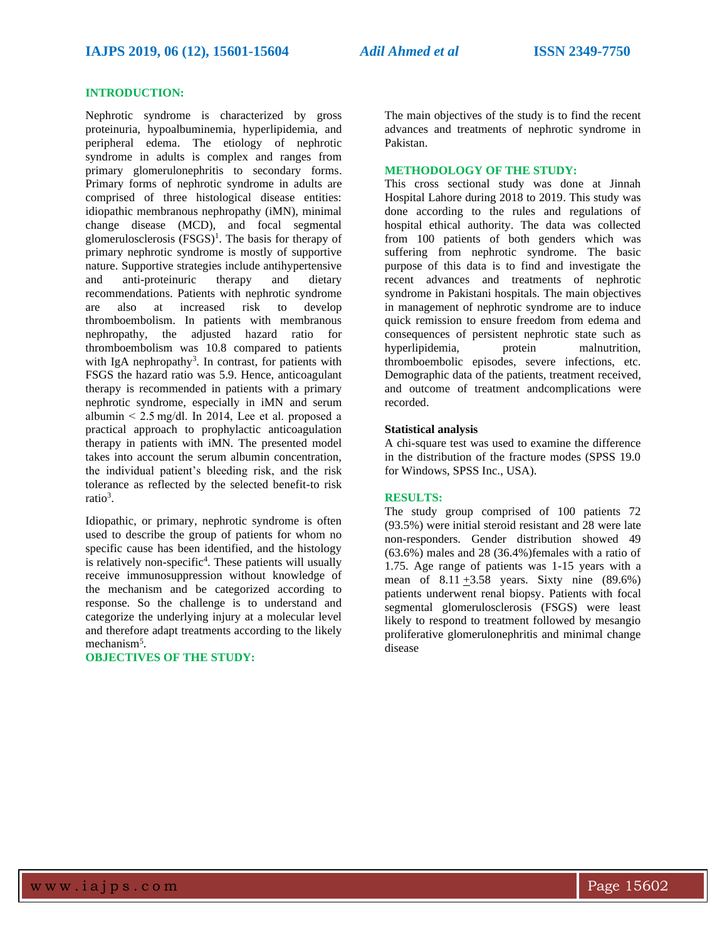### **INTRODUCTION:**

Nephrotic syndrome is characterized by gross proteinuria, hypoalbuminemia, hyperlipidemia, and peripheral edema. The etiology of nephrotic syndrome in adults is complex and ranges from primary glomerulonephritis to secondary forms. Primary forms of nephrotic syndrome in adults are comprised of three histological disease entities: idiopathic membranous nephropathy (iMN), minimal change disease (MCD), and focal segmental glomerulosclerosis  $(FSGS)^1$ . The basis for therapy of primary nephrotic syndrome is mostly of supportive nature. Supportive strategies include antihypertensive and anti-proteinuric therapy and dietary recommendations. Patients with nephrotic syndrome are also at increased risk to develop thromboembolism. In patients with membranous nephropathy, the adjusted hazard ratio for thromboembolism was 10.8 compared to patients with IgA nephropathy<sup>3</sup>. In contrast, for patients with FSGS the hazard ratio was 5.9. Hence, anticoagulant therapy is recommended in patients with a primary nephrotic syndrome, especially in iMN and serum albumin  $\leq 2.5$  mg/dl. In 2014, Lee et al. proposed a practical approach to prophylactic anticoagulation therapy in patients with iMN. The presented model takes into account the serum albumin concentration, the individual patient's bleeding risk, and the risk tolerance as reflected by the selected benefit-to risk ratio<sup>3</sup>.

Idiopathic, or primary, nephrotic syndrome is often used to describe the group of patients for whom no specific cause has been identified, and the histology is relatively non-specific<sup>4</sup>. These patients will usually receive immunosuppression without knowledge of the mechanism and be categorized according to response. So the challenge is to understand and categorize the underlying injury at a molecular level and therefore adapt treatments according to the likely mechanism<sup>5</sup>.

**OBJECTIVES OF THE STUDY:**

The main objectives of the study is to find the recent advances and treatments of nephrotic syndrome in Pakistan.

## **METHODOLOGY OF THE STUDY:**

This cross sectional study was done at Jinnah Hospital Lahore during 2018 to 2019. This study was done according to the rules and regulations of hospital ethical authority. The data was collected from 100 patients of both genders which was suffering from nephrotic syndrome. The basic purpose of this data is to find and investigate the recent advances and treatments of nephrotic syndrome in Pakistani hospitals. The main objectives in management of nephrotic syndrome are to induce quick remission to ensure freedom from edema and consequences of persistent nephrotic state such as hyperlipidemia, protein malnutrition, thromboembolic episodes, severe infections, etc. Demographic data of the patients, treatment received, and outcome of treatment andcomplications were recorded.

#### **Statistical analysis**

A chi-square test was used to examine the difference in the distribution of the fracture modes (SPSS 19.0 for Windows, SPSS Inc., USA).

#### **RESULTS:**

The study group comprised of 100 patients 72 (93.5%) were initial steroid resistant and 28 were late non-responders. Gender distribution showed 49  $(63.6\%)$  males and 28  $(36.4\%)$  females with a ratio of 1.75. Age range of patients was 1-15 years with a mean of 8.11 +3.58 years. Sixty nine (89.6%) patients underwent renal biopsy. Patients with focal segmental glomerulosclerosis (FSGS) were least likely to respond to treatment followed by mesangio proliferative glomerulonephritis and minimal change disease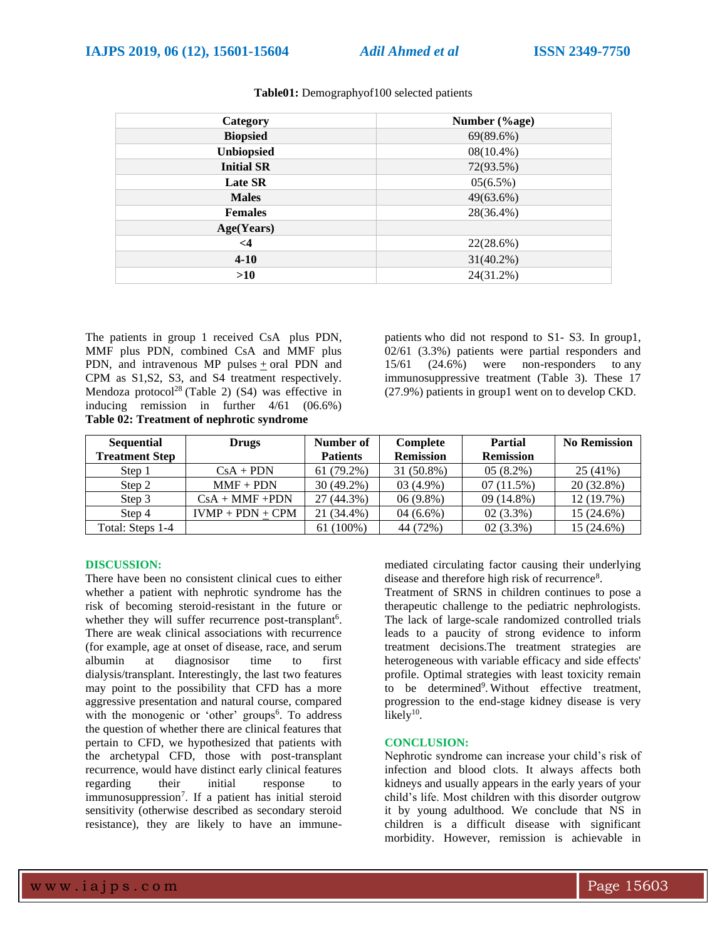| Category          | Number (%age) |
|-------------------|---------------|
| <b>Biopsied</b>   | 69(89.6%)     |
| <b>Unbiopsied</b> | $08(10.4\%)$  |
| <b>Initial SR</b> | 72(93.5%)     |
| Late SR           | $05(6.5\%)$   |
| <b>Males</b>      | 49(63.6%)     |
| <b>Females</b>    | 28(36.4%)     |
| <b>Age(Years)</b> |               |
| $\leq$ 4          | 22(28.6%)     |
| $4 - 10$          | $31(40.2\%)$  |
| >10               | 24(31.2%)     |

#### **Table01:** Demographyof100 selected patients

The patients in group 1 received CsA plus PDN, MMF plus PDN, combined CsA and MMF plus PDN, and intravenous MP pulses  $\pm$  oral PDN and CPM as S1,S2, S3, and S4 treatment respectively. Mendoza protocol<sup>28</sup> (Table 2) (S4) was effective in inducing remission in further 4/61 (06.6%) **Table 02: Treatment of nephrotic syndrome**

patients who did not respond to S1- S3. In group1, 02/61 (3.3%) patients were partial responders and 15/61 (24.6%) were non-responders to any immunosuppressive treatment (Table 3). These 17 (27.9%) patients in group1 went on to develop CKD.

| <b>Sequential</b>     | <b>Drugs</b>       | Number of       | Complete         | <b>Partial</b>   | <b>No Remission</b> |
|-----------------------|--------------------|-----------------|------------------|------------------|---------------------|
| <b>Treatment Step</b> |                    | <b>Patients</b> | <b>Remission</b> | <b>Remission</b> |                     |
| Step 1                | $CsA + PDN$        | $61(79.2\%)$    | $31(50.8\%)$     | $05(8.2\%)$      | 25(41%)             |
| Step 2                | $MMF + PDN$        | $30(49.2\%)$    | $03(4.9\%)$      | 07(11.5%)        | 20 (32.8%)          |
| Step 3                | $CsA + MMF + PDN$  | 27 (44.3%)      | $06(9.8\%)$      | 09 (14.8%)       | 12 (19.7%)          |
| Step 4                | $IVMP + PDN + CPM$ | 21 (34.4%)      | $04(6.6\%)$      | $02(3.3\%)$      | 15 (24.6%)          |
| Total: Steps 1-4      |                    | $61(100\%)$     | 44 (72%)         | $02(3.3\%)$      | 15 (24.6%)          |

#### **DISCUSSION:**

There have been no consistent clinical cues to either whether a patient with nephrotic syndrome has the risk of becoming steroid-resistant in the future or whether they will suffer recurrence post-transplant<sup>6</sup>. There are weak clinical associations with recurrence (for example, age at onset of disease, race, and serum albumin at diagnosisor time to first dialysis/transplant. Interestingly, the last two features may point to the possibility that CFD has a more aggressive presentation and natural course, compared with the monogenic or 'other' groups<sup>6</sup>. To address the question of whether there are clinical features that pertain to CFD, we hypothesized that patients with the archetypal CFD, those with post-transplant recurrence, would have distinct early clinical features regarding their initial response to immunosuppression<sup>7</sup>. If a patient has initial steroid sensitivity (otherwise described as secondary steroid resistance), they are likely to have an immunemediated circulating factor causing their underlying disease and therefore high risk of recurrence<sup>8</sup>.

Treatment of SRNS in children continues to pose a therapeutic challenge to the pediatric nephrologists. The lack of large-scale randomized controlled trials leads to a paucity of strong evidence to inform treatment decisions.The treatment strategies are heterogeneous with variable efficacy and side effects' profile. Optimal strategies with least toxicity remain to be determined<sup>9</sup>. Without effective treatment, progression to the end-stage kidney disease is very likely $^{10}$ .

#### **CONCLUSION:**

Nephrotic syndrome can increase your child's risk of infection and blood clots. It always affects both kidneys and usually appears in the early years of your child's life. Most children with this disorder outgrow it by young adulthood. We conclude that NS in children is a difficult disease with significant morbidity. However, remission is achievable in